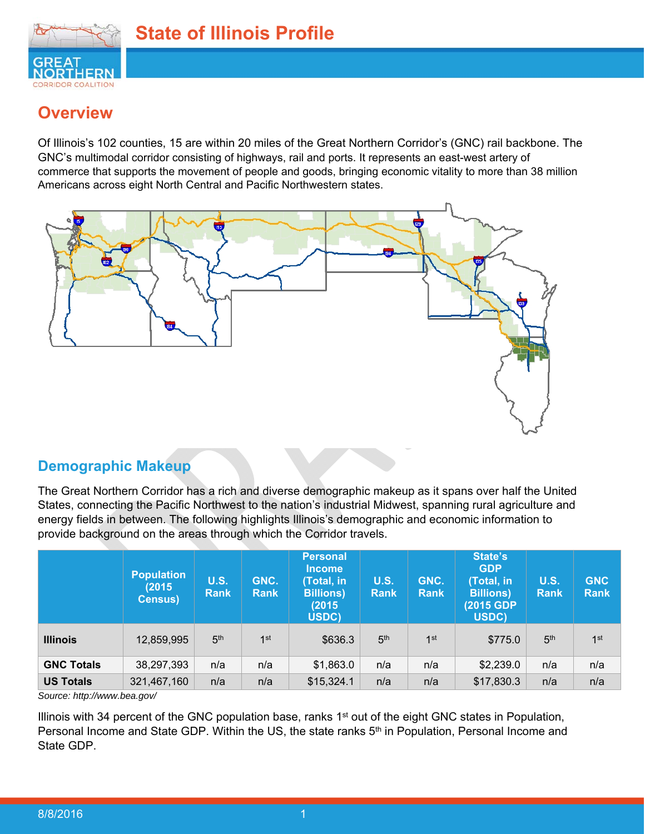

# **Overview**

Of Illinois's 102 counties, 15 are within 20 miles of the Great Northern Corridor's (GNC) rail backbone. The GNC's multimodal corridor consisting of highways, rail and ports. It represents an east-west artery of commerce that supports the movement of people and goods, bringing economic vitality to more than 38 million Americans across eight North Central and Pacific Northwestern states.



# **Demographic Makeup**

The Great Northern Corridor has a rich and diverse demographic makeup as it spans over half the United States, connecting the Pacific Northwest to the nation's industrial Midwest, spanning rural agriculture and energy fields in between. The following highlights Illinois's demographic and economic information to provide background on the areas through which the Corridor travels.

|                   | <b>Population</b><br>(2015)<br><b>Census)</b> | <b>U.S.</b><br><b>Rank</b> | GNC.<br><b>Rank</b> | <b>Personal</b><br><b>Income</b><br>(Total, in<br><b>Billions</b> )<br>(2015)<br>USDC) | <b>U.S.</b><br><b>Rank</b> | GNC.<br><b>Rank</b> | State's<br><b>GDP</b><br>(Total, in<br><b>Billions</b> )<br>(2015 GDP)<br>USDC) | <b>U.S.</b><br><b>Rank</b> | <b>GNC</b><br><b>Rank</b> |
|-------------------|-----------------------------------------------|----------------------------|---------------------|----------------------------------------------------------------------------------------|----------------------------|---------------------|---------------------------------------------------------------------------------|----------------------------|---------------------------|
| <b>Illinois</b>   | 12,859,995                                    | 5 <sup>th</sup>            | 1 <sup>st</sup>     | \$636.3                                                                                | 5 <sup>th</sup>            | 1 <sup>st</sup>     | \$775.0                                                                         | 5 <sup>th</sup>            | 1 <sup>st</sup>           |
| <b>GNC Totals</b> | 38,297,393                                    | n/a                        | n/a                 | \$1,863.0                                                                              | n/a                        | n/a                 | \$2,239.0                                                                       | n/a                        | n/a                       |
| <b>US Totals</b>  | 321,467,160                                   | n/a                        | n/a                 | \$15,324.1                                                                             | n/a                        | n/a                 | \$17,830.3                                                                      | n/a                        | n/a                       |

*Source: http://www.bea.gov/* 

Illinois with 34 percent of the GNC population base, ranks 1<sup>st</sup> out of the eight GNC states in Population, Personal Income and State GDP. Within the US, the state ranks 5<sup>th</sup> in Population, Personal Income and State GDP.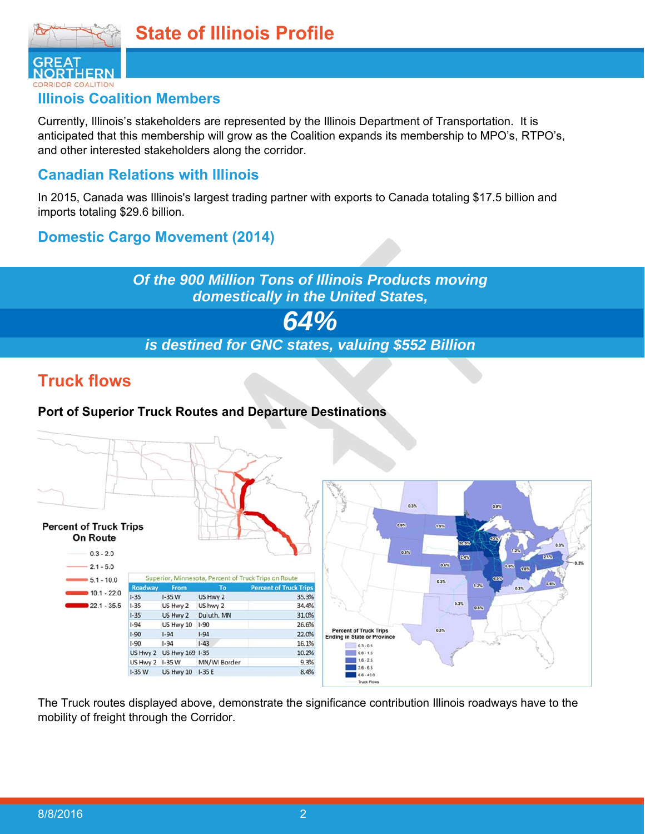

**RIDOR COALITION** 

## **Illinois Coalition Members**

Currently, Illinois's stakeholders are represented by the Illinois Department of Transportation. It is anticipated that this membership will grow as the Coalition expands its membership to MPO's, RTPO's, and other interested stakeholders along the corridor.

## **Canadian Relations with Illinois**

In 2015, Canada was Illinois's largest trading partner with exports to Canada totaling \$17.5 billion and imports totaling \$29.6 billion.

## **Domestic Cargo Movement (2014)**

# *Of the 900 Million Tons of Illinois Products moving domestically in the United States, 64% is destined for GNC states, valuing \$552 Billion*

# **Truck flows**

#### **Port of Superior Truck Routes and Departure Destinations**



The Truck routes displayed above, demonstrate the significance contribution Illinois roadways have to the mobility of freight through the Corridor.